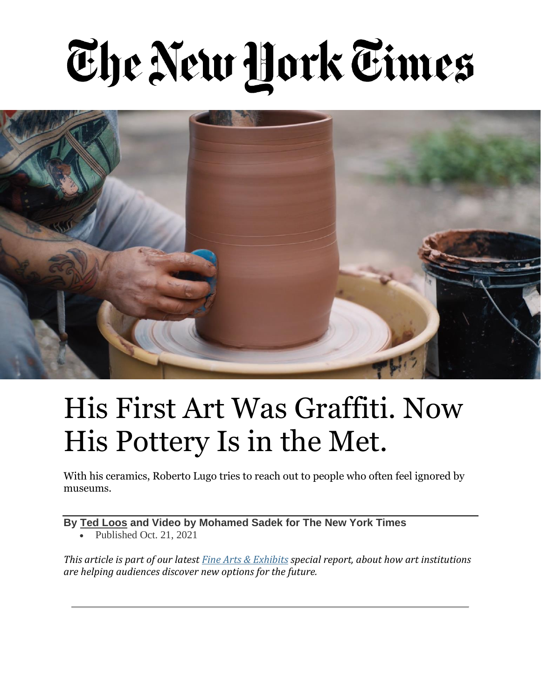## The New York Times



## His First Art Was Graffiti. Now His Pottery Is in the Met.

With his ceramics, Roberto Lugo tries to reach out to people who often feel ignored by museums.

**By Ted [Loos](https://www.nytimes.com/by/ted-loos) and Video by Mohamed Sadek for The New York Times**

• Published Oct. 21, 2021

*This article is part of our latest Fine Arts & [Exhibits](https://www.nytimes.com/spotlight/fine-arts-special-section) special report, about how art institutions are helping audiences discover new options for the future.*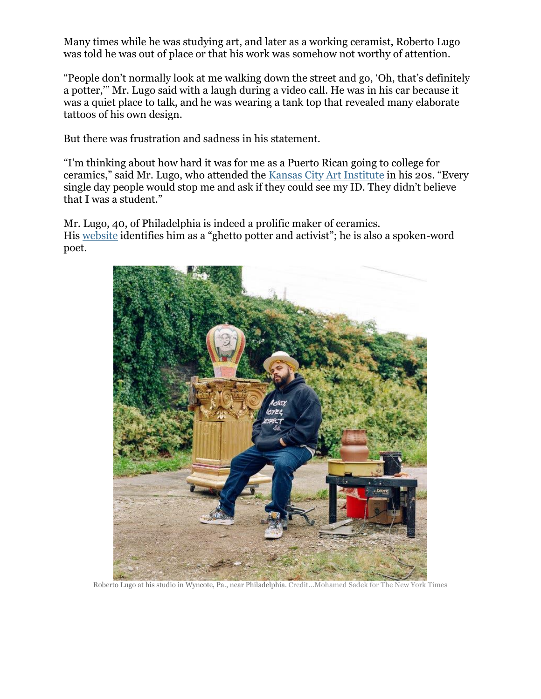Many times while he was studying art, and later as a working ceramist, Roberto Lugo was told he was out of place or that his work was somehow not worthy of attention.

"People don't normally look at me walking down the street and go, 'Oh, that's definitely a potter,'" Mr. Lugo said with a laugh during a video call. He was in his car because it was a quiet place to talk, and he was wearing a tank top that revealed many elaborate tattoos of his own design.

But there was frustration and sadness in his statement.

"I'm thinking about how hard it was for me as a Puerto Rican going to college for ceramics," said Mr. Lugo, who attended the Kansas City Art [Institute](https://kcai.edu/) in his 20s. "Every single day people would stop me and ask if they could see my ID. They didn't believe that I was a student."

Mr. Lugo, 40, of Philadelphia is indeed a prolific maker of ceramics. His [website](http://robertolugostudio.com/) identifies him as a "ghetto potter and activist"; he is also a spoken-word poet.



Roberto Lugo at his studio in Wyncote, Pa., near Philadelphia. Credit...Mohamed Sadek for The New York Times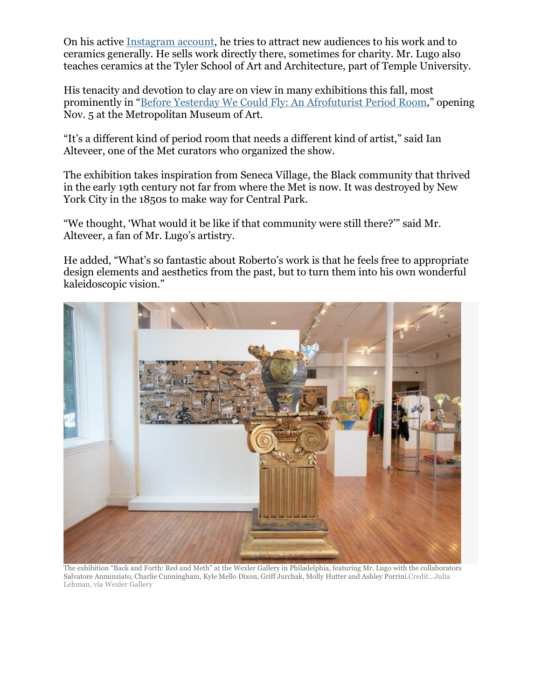On his active Instagram account, he tries to attract new audiences to his work and to ceramics gen[erally. He sells work](https://www.instagram.com/robertolugowithoutwax/) directly there, sometimes for charity. Mr. Lugo also teaches ceramics at the Tyler School of Art and Architecture, part of Temple University.

His tenacity and devotion to clay are on view in many exhibitions this fall, most prominently in "Before Yesterday We Could Fly: An [Afrofuturist](https://www.metmuseum.org/exhibitions/listings/2021/afrofuturist-period-room) Period Room," opening Nov. 5 at the Metropolitan Museum of Art.

"It's a different kind of period room that needs a different kind of artist," said Ian Alteveer, one of the Met curators who organized the show.

The exhibition takes inspiration from Seneca Village, the Black community that thrived in the early 19th century not far from where the Met is now. It was destroyed by New York City in the 1850s to make way for Central Park.

"We thought, 'What would it be like if that community were still there?'" said Mr. Alteveer, a fan of Mr. Lugo's artistry.

He added, "What's so fantastic about Roberto's work is that he feels free to appropriate design elements and aesthetics from the past, but to turn them into his own wonderful kaleidoscopic vision."



The exhibition "Back and Forth: Red and Meth" at the Wexler Gallery in Philadelphia, featuring Mr. Lugo with the collaborators Salvatore Annunziato, Charlie Cunningham, Kyle Mello Dixon, Griff Jurchak, Molly Hutter and Ashley Porrini.Credit...Julia Lehman, via Wexler Gallery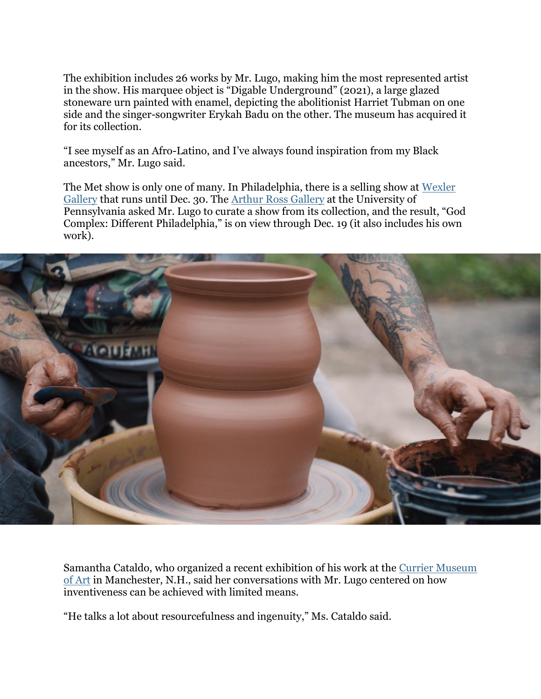The exhibition includes 26 works by Mr. Lugo, making him the most represented artist in the show. His marquee object is "Digable Underground" (2021), a large glazed stoneware urn painted with enamel, depicting the abolitionist Harriet Tubman on one side and the singer-songwriter Erykah Badu on the other. The museum has acquired it for its collection.

"I see myself as an Afro-Latino, and I've always found inspiration from my Black ancestors," Mr. Lugo said.

The Met show is only one of many. In Philadelphia, there is a selling show at [Wexler](https://www.wexlergallery.com/) [Gallery](https://www.wexlergallery.com/) that runs until Dec. 30. The Arthur Ross [Gallery](https://arthurrossgallery.org/) at the University of Pennsylvania asked Mr. Lugo to curate a show from its collection, and the result, "God Complex: Different Philadelphia," is on view through Dec. 19 (it also includes his own work).



Samantha Cataldo, who organized a recent exhibition of his work at the Currier [Museum](https://currier.org/) of [Art](https://currier.org/) in Manchester, N.H., said her conversations with Mr. Lugo centered on how inventiveness can be achieved with limited means.

"He talks a lot about resourcefulness and ingenuity," Ms. Cataldo said.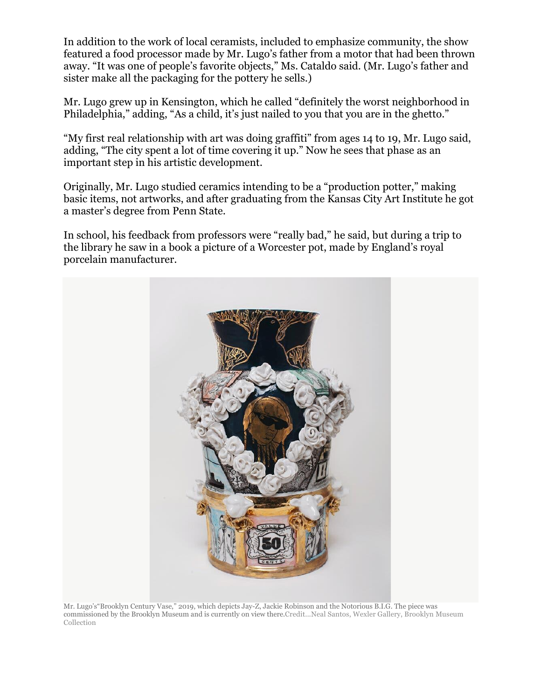In addition to the work of local ceramists, included to emphasize community, the show featured a food processor made by Mr. Lugo's father from a motor that had been thrown away. "It was one of people's favorite objects," Ms. Cataldo said. (Mr. Lugo's father and sister make all the packaging for the pottery he sells.)

Mr. Lugo grew up in Kensington, which he called "definitely the worst neighborhood in Philadelphia," adding, "As a child, it's just nailed to you that you are in the ghetto."

"My first real relationship with art was doing graffiti" from ages 14 to 19, Mr. Lugo said, adding, "The city spent a lot of time covering it up." Now he sees that phase as an important step in his artistic development.

Originally, Mr. Lugo studied ceramics intending to be a "production potter," making basic items, not artworks, and after graduating from the Kansas City Art Institute he got a master's degree from Penn State.

In school, his feedback from professors were "really bad," he said, but during a trip to the library he saw in a book a picture of a Worcester pot, made by England's royal porcelain manufacturer.



Mr. Lugo's"Brooklyn Century Vase," 2019, which depicts Jay-Z, Jackie Robinson and the Notorious B.I.G. The piece was commissioned by the Brooklyn Museum and is currently on view there.Credit...Neal Santos, Wexler Gallery, Brooklyn Museum Collection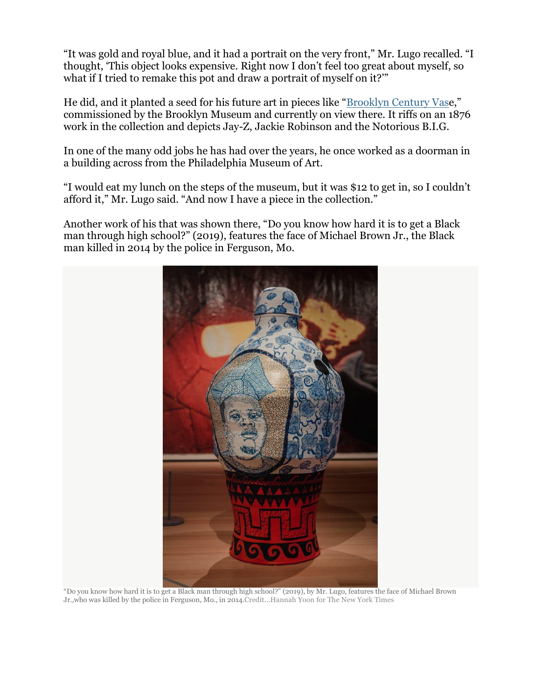"It was gold and royal blue, and it had a portrait on the very front," Mr. Lugo recalled. "I thought, 'This object looks expensive. Right now I don't feel too great about myself, so what if I tried to remake this pot and draw a portrait of myself on it?"

He did, and it planted a seed for his future art in pieces like "[Brooklyn](https://www.brooklynmuseum.org/opencollection/objects/224452) Century Vase," commissioned by the Brooklyn Museum and currently on view there. It riffs on an 1876 work in the collection and depicts Jay-Z, Jackie Robinson and the Notorious B.I.G.

In one of the many odd jobs he has had over the years, he once worked as a doorman in a building across from the Philadelphia Museum of Art.

"I would eat my lunch on the steps of the museum, but it was \$12 to get in, so I couldn't afford it," Mr. Lugo said. "And now I have a piece in the collection."

Another work of his that was shown there, "Do you know how hard it is to get a Black man through high school?" (2019), features the face of Michael Brown Jr., the Black man killed in 2014 by the police in Ferguson, Mo.



"Do you know how hard it is to get a Black man through high school?" (2019), by Mr. Lugo, features the face of Michael Brown Jr.,who was killed by the police in Ferguson, Mo., in 2014.Credit...Hannah Yoon for The New York Times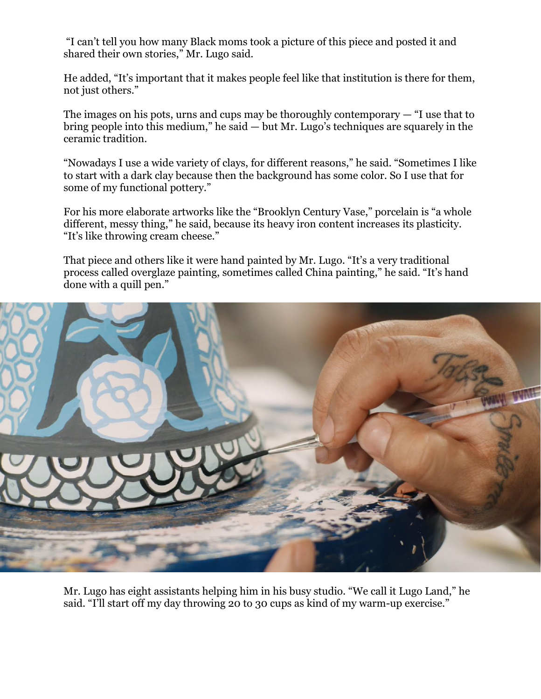"I can't tell you how many Black moms took a picture of this piece and posted it and shared their own stories," Mr. Lugo said.

He added, "It's important that it makes people feel like that institution is there for them, not just others."

The images on his pots, urns and cups may be thoroughly contemporary  $-$  "I use that to bring people into this medium," he said — but Mr. Lugo's techniques are squarely in the ceramic tradition.

"Nowadays I use a wide variety of clays, for different reasons," he said. "Sometimes I like to start with a dark clay because then the background has some color. So I use that for some of my functional pottery."

For his more elaborate artworks like the "Brooklyn Century Vase," porcelain is "a whole different, messy thing," he said, because its heavy iron content increases its plasticity. "It's like throwing cream cheese."

That piece and others like it were hand painted by Mr. Lugo. "It's a very traditional process called overglaze painting, sometimes called China painting," he said. "It's hand done with a quill pen."



Mr. Lugo has eight assistants helping him in his busy studio. "We call it Lugo Land," he said. "I'll start off my day throwing 20 to 30 cups as kind of my warm-up exercise."